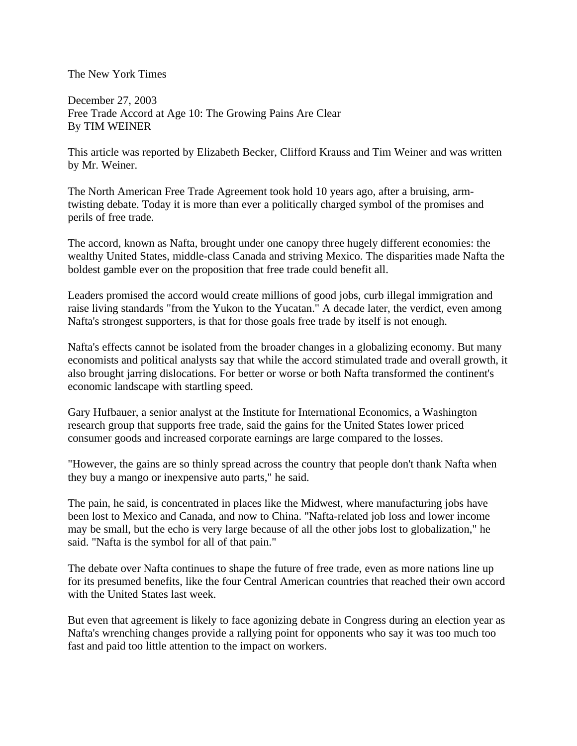## The New York Times

December 27, 2003 Free Trade Accord at Age 10: The Growing Pains Are Clear By TIM WEINER

This article was reported by Elizabeth Becker, Clifford Krauss and Tim Weiner and was written by Mr. Weiner.

The North American Free Trade Agreement took hold 10 years ago, after a bruising, armtwisting debate. Today it is more than ever a politically charged symbol of the promises and perils of free trade.

The accord, known as Nafta, brought under one canopy three hugely different economies: the wealthy United States, middle-class Canada and striving Mexico. The disparities made Nafta the boldest gamble ever on the proposition that free trade could benefit all.

Leaders promised the accord would create millions of good jobs, curb illegal immigration and raise living standards "from the Yukon to the Yucatan." A decade later, the verdict, even among Nafta's strongest supporters, is that for those goals free trade by itself is not enough.

Nafta's effects cannot be isolated from the broader changes in a globalizing economy. But many economists and political analysts say that while the accord stimulated trade and overall growth, it also brought jarring dislocations. For better or worse or both Nafta transformed the continent's economic landscape with startling speed.

Gary Hufbauer, a senior analyst at the Institute for International Economics, a Washington research group that supports free trade, said the gains for the United States lower priced consumer goods and increased corporate earnings are large compared to the losses.

"However, the gains are so thinly spread across the country that people don't thank Nafta when they buy a mango or inexpensive auto parts," he said.

The pain, he said, is concentrated in places like the Midwest, where manufacturing jobs have been lost to Mexico and Canada, and now to China. "Nafta-related job loss and lower income may be small, but the echo is very large because of all the other jobs lost to globalization," he said. "Nafta is the symbol for all of that pain."

The debate over Nafta continues to shape the future of free trade, even as more nations line up for its presumed benefits, like the four Central American countries that reached their own accord with the United States last week.

But even that agreement is likely to face agonizing debate in Congress during an election year as Nafta's wrenching changes provide a rallying point for opponents who say it was too much too fast and paid too little attention to the impact on workers.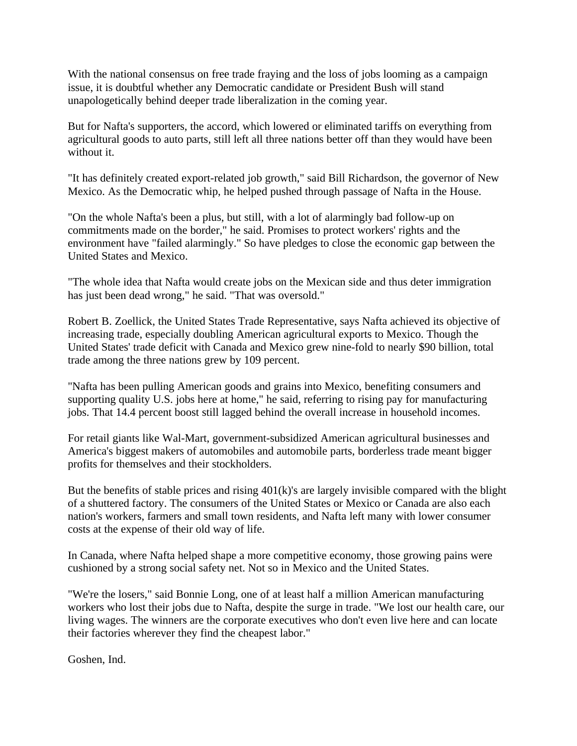With the national consensus on free trade fraying and the loss of jobs looming as a campaign issue, it is doubtful whether any Democratic candidate or President Bush will stand unapologetically behind deeper trade liberalization in the coming year.

But for Nafta's supporters, the accord, which lowered or eliminated tariffs on everything from agricultural goods to auto parts, still left all three nations better off than they would have been without it.

"It has definitely created export-related job growth," said Bill Richardson, the governor of New Mexico. As the Democratic whip, he helped pushed through passage of Nafta in the House.

"On the whole Nafta's been a plus, but still, with a lot of alarmingly bad follow-up on commitments made on the border," he said. Promises to protect workers' rights and the environment have "failed alarmingly." So have pledges to close the economic gap between the United States and Mexico.

"The whole idea that Nafta would create jobs on the Mexican side and thus deter immigration has just been dead wrong," he said. "That was oversold."

Robert B. Zoellick, the United States Trade Representative, says Nafta achieved its objective of increasing trade, especially doubling American agricultural exports to Mexico. Though the United States' trade deficit with Canada and Mexico grew nine-fold to nearly \$90 billion, total trade among the three nations grew by 109 percent.

"Nafta has been pulling American goods and grains into Mexico, benefiting consumers and supporting quality U.S. jobs here at home," he said, referring to rising pay for manufacturing jobs. That 14.4 percent boost still lagged behind the overall increase in household incomes.

For retail giants like Wal-Mart, government-subsidized American agricultural businesses and America's biggest makers of automobiles and automobile parts, borderless trade meant bigger profits for themselves and their stockholders.

But the benefits of stable prices and rising 401(k)'s are largely invisible compared with the blight of a shuttered factory. The consumers of the United States or Mexico or Canada are also each nation's workers, farmers and small town residents, and Nafta left many with lower consumer costs at the expense of their old way of life.

In Canada, where Nafta helped shape a more competitive economy, those growing pains were cushioned by a strong social safety net. Not so in Mexico and the United States.

"We're the losers," said Bonnie Long, one of at least half a million American manufacturing workers who lost their jobs due to Nafta, despite the surge in trade. "We lost our health care, our living wages. The winners are the corporate executives who don't even live here and can locate their factories wherever they find the cheapest labor."

Goshen, Ind.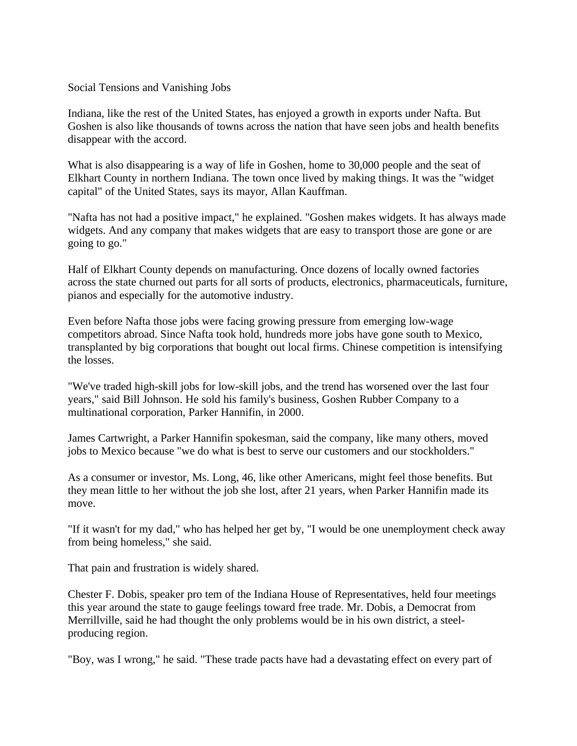## Social Tensions and Vanishing Jobs

Indiana, like the rest of the United States, has enjoyed a growth in exports under Nafta. But Goshen is also like thousands of towns across the nation that have seen jobs and health benefits disappear with the accord.

What is also disappearing is a way of life in Goshen, home to 30,000 people and the seat of Elkhart County in northern Indiana. The town once lived by making things. It was the "widget capital" of the United States, says its mayor, Allan Kauffman.

"Nafta has not had a positive impact," he explained. "Goshen makes widgets. It has always made widgets. And any company that makes widgets that are easy to transport those are gone or are going to go."

Half of Elkhart County depends on manufacturing. Once dozens of locally owned factories across the state churned out parts for all sorts of products, electronics, pharmaceuticals, furniture, pianos and especially for the automotive industry.

Even before Nafta those jobs were facing growing pressure from emerging low-wage competitors abroad. Since Nafta took hold, hundreds more jobs have gone south to Mexico, transplanted by big corporations that bought out local firms. Chinese competition is intensifying the losses.

"We've traded high-skill jobs for low-skill jobs, and the trend has worsened over the last four years," said Bill Johnson. He sold his family's business, Goshen Rubber Company to a multinational corporation, Parker Hannifin, in 2000.

James Cartwright, a Parker Hannifin spokesman, said the company, like many others, moved jobs to Mexico because "we do what is best to serve our customers and our stockholders."

As a consumer or investor, Ms. Long, 46, like other Americans, might feel those benefits. But they mean little to her without the job she lost, after 21 years, when Parker Hannifin made its move.

"If it wasn't for my dad," who has helped her get by, "I would be one unemployment check away from being homeless," she said.

That pain and frustration is widely shared.

Chester F. Dobis, speaker pro tem of the Indiana House of Representatives, held four meetings this year around the state to gauge feelings toward free trade. Mr. Dobis, a Democrat from Merrillville, said he had thought the only problems would be in his own district, a steelproducing region.

"Boy, was I wrong," he said. "These trade pacts have had a devastating effect on every part of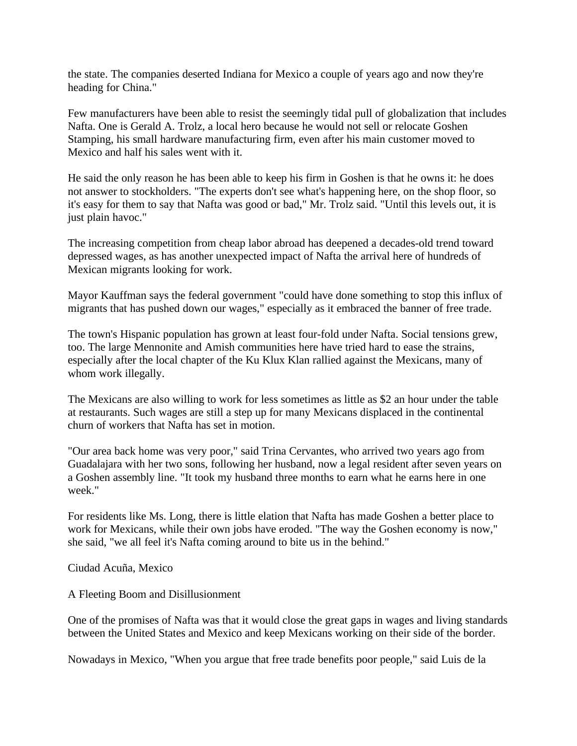the state. The companies deserted Indiana for Mexico a couple of years ago and now they're heading for China."

Few manufacturers have been able to resist the seemingly tidal pull of globalization that includes Nafta. One is Gerald A. Trolz, a local hero because he would not sell or relocate Goshen Stamping, his small hardware manufacturing firm, even after his main customer moved to Mexico and half his sales went with it.

He said the only reason he has been able to keep his firm in Goshen is that he owns it: he does not answer to stockholders. "The experts don't see what's happening here, on the shop floor, so it's easy for them to say that Nafta was good or bad," Mr. Trolz said. "Until this levels out, it is just plain havoc."

The increasing competition from cheap labor abroad has deepened a decades-old trend toward depressed wages, as has another unexpected impact of Nafta the arrival here of hundreds of Mexican migrants looking for work.

Mayor Kauffman says the federal government "could have done something to stop this influx of migrants that has pushed down our wages," especially as it embraced the banner of free trade.

The town's Hispanic population has grown at least four-fold under Nafta. Social tensions grew, too. The large Mennonite and Amish communities here have tried hard to ease the strains, especially after the local chapter of the Ku Klux Klan rallied against the Mexicans, many of whom work illegally.

The Mexicans are also willing to work for less sometimes as little as \$2 an hour under the table at restaurants. Such wages are still a step up for many Mexicans displaced in the continental churn of workers that Nafta has set in motion.

"Our area back home was very poor," said Trina Cervantes, who arrived two years ago from Guadalajara with her two sons, following her husband, now a legal resident after seven years on a Goshen assembly line. "It took my husband three months to earn what he earns here in one week."

For residents like Ms. Long, there is little elation that Nafta has made Goshen a better place to work for Mexicans, while their own jobs have eroded. "The way the Goshen economy is now," she said, "we all feel it's Nafta coming around to bite us in the behind."

Ciudad Acuña, Mexico

A Fleeting Boom and Disillusionment

One of the promises of Nafta was that it would close the great gaps in wages and living standards between the United States and Mexico and keep Mexicans working on their side of the border.

Nowadays in Mexico, "When you argue that free trade benefits poor people," said Luis de la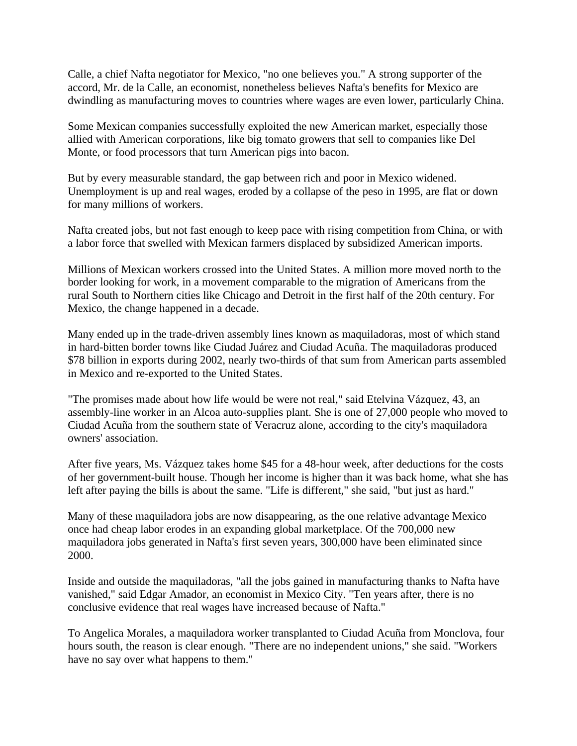Calle, a chief Nafta negotiator for Mexico, "no one believes you." A strong supporter of the accord, Mr. de la Calle, an economist, nonetheless believes Nafta's benefits for Mexico are dwindling as manufacturing moves to countries where wages are even lower, particularly China.

Some Mexican companies successfully exploited the new American market, especially those allied with American corporations, like big tomato growers that sell to companies like Del Monte, or food processors that turn American pigs into bacon.

But by every measurable standard, the gap between rich and poor in Mexico widened. Unemployment is up and real wages, eroded by a collapse of the peso in 1995, are flat or down for many millions of workers.

Nafta created jobs, but not fast enough to keep pace with rising competition from China, or with a labor force that swelled with Mexican farmers displaced by subsidized American imports.

Millions of Mexican workers crossed into the United States. A million more moved north to the border looking for work, in a movement comparable to the migration of Americans from the rural South to Northern cities like Chicago and Detroit in the first half of the 20th century. For Mexico, the change happened in a decade.

Many ended up in the trade-driven assembly lines known as maquiladoras, most of which stand in hard-bitten border towns like Ciudad Juárez and Ciudad Acuña. The maquiladoras produced \$78 billion in exports during 2002, nearly two-thirds of that sum from American parts assembled in Mexico and re-exported to the United States.

"The promises made about how life would be were not real," said Etelvina Vázquez, 43, an assembly-line worker in an Alcoa auto-supplies plant. She is one of 27,000 people who moved to Ciudad Acuña from the southern state of Veracruz alone, according to the city's maquiladora owners' association.

After five years, Ms. Vázquez takes home \$45 for a 48-hour week, after deductions for the costs of her government-built house. Though her income is higher than it was back home, what she has left after paying the bills is about the same. "Life is different," she said, "but just as hard."

Many of these maquiladora jobs are now disappearing, as the one relative advantage Mexico once had cheap labor erodes in an expanding global marketplace. Of the 700,000 new maquiladora jobs generated in Nafta's first seven years, 300,000 have been eliminated since 2000.

Inside and outside the maquiladoras, "all the jobs gained in manufacturing thanks to Nafta have vanished," said Edgar Amador, an economist in Mexico City. "Ten years after, there is no conclusive evidence that real wages have increased because of Nafta."

To Angelica Morales, a maquiladora worker transplanted to Ciudad Acuña from Monclova, four hours south, the reason is clear enough. "There are no independent unions," she said. "Workers have no say over what happens to them."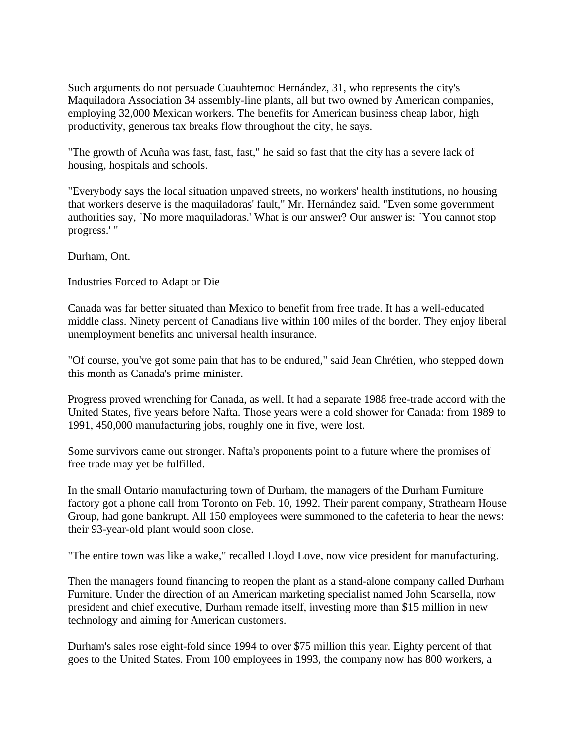Such arguments do not persuade Cuauhtemoc Hernández, 31, who represents the city's Maquiladora Association 34 assembly-line plants, all but two owned by American companies, employing 32,000 Mexican workers. The benefits for American business cheap labor, high productivity, generous tax breaks flow throughout the city, he says.

"The growth of Acuña was fast, fast, fast," he said so fast that the city has a severe lack of housing, hospitals and schools.

"Everybody says the local situation unpaved streets, no workers' health institutions, no housing that workers deserve is the maquiladoras' fault," Mr. Hernández said. "Even some government authorities say, `No more maquiladoras.' What is our answer? Our answer is: `You cannot stop progress.' "

Durham, Ont.

Industries Forced to Adapt or Die

Canada was far better situated than Mexico to benefit from free trade. It has a well-educated middle class. Ninety percent of Canadians live within 100 miles of the border. They enjoy liberal unemployment benefits and universal health insurance.

"Of course, you've got some pain that has to be endured," said Jean Chrétien, who stepped down this month as Canada's prime minister.

Progress proved wrenching for Canada, as well. It had a separate 1988 free-trade accord with the United States, five years before Nafta. Those years were a cold shower for Canada: from 1989 to 1991, 450,000 manufacturing jobs, roughly one in five, were lost.

Some survivors came out stronger. Nafta's proponents point to a future where the promises of free trade may yet be fulfilled.

In the small Ontario manufacturing town of Durham, the managers of the Durham Furniture factory got a phone call from Toronto on Feb. 10, 1992. Their parent company, Strathearn House Group, had gone bankrupt. All 150 employees were summoned to the cafeteria to hear the news: their 93-year-old plant would soon close.

"The entire town was like a wake," recalled Lloyd Love, now vice president for manufacturing.

Then the managers found financing to reopen the plant as a stand-alone company called Durham Furniture. Under the direction of an American marketing specialist named John Scarsella, now president and chief executive, Durham remade itself, investing more than \$15 million in new technology and aiming for American customers.

Durham's sales rose eight-fold since 1994 to over \$75 million this year. Eighty percent of that goes to the United States. From 100 employees in 1993, the company now has 800 workers, a